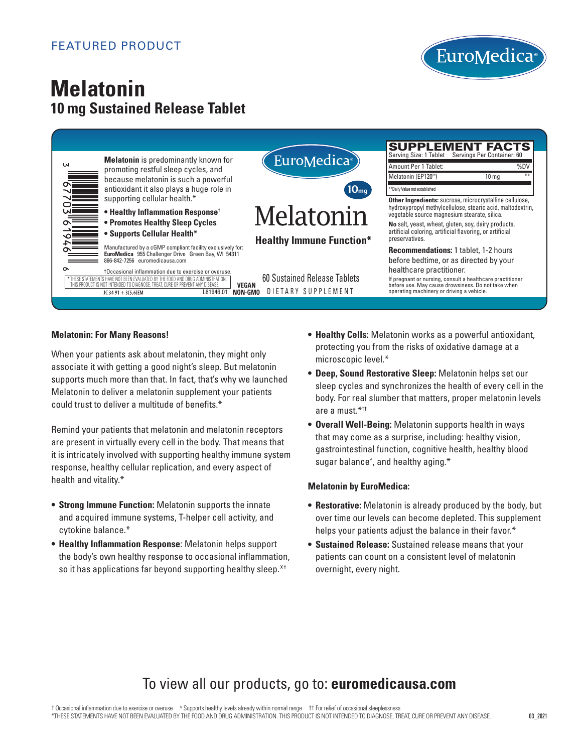

# **Melatonin 10 mg Sustained Release Tablet**



#### **Melatonin: For Many Reasons!**

When your patients ask about melatonin, they might only associate it with getting a good night's sleep. But melatonin supports much more than that. In fact, that's why we launched Melatonin to deliver a melatonin supplement your patients could trust to deliver a multitude of benefits.\*

Remind your patients that melatonin and melatonin receptors are present in virtually every cell in the body. That means that it is intricately involved with supporting healthy immune system response, healthy cellular replication, and every aspect of health and vitality.\*

- **Strong Immune Function:** Melatonin supports the innate and acquired immune systems, T-helper cell activity, and cytokine balance.\*
- **Healthy Inflammation Response**: Melatonin helps support the body's own healthy response to occasional inflammation, so it has applications far beyond supporting healthy sleep.\*<sup>†</sup>
- **Healthy Cells:** Melatonin works as a powerful antioxidant, protecting you from the risks of oxidative damage at a microscopic level.\*
	- **Deep, Sound Restorative Sleep:** Melatonin helps set our sleep cycles and synchronizes the health of every cell in the body. For real slumber that matters, proper melatonin levels are a must  $*$ <sup>††</sup>
	- **Overall Well-Being:** Melatonin supports health in ways that may come as a surprise, including: healthy vision, gastrointestinal function, cognitive health, healthy blood sugar balance^ , and healthy aging.\*

#### **Melatonin by EuroMedica:**

- **Restorative:** Melatonin is already produced by the body, but over time our levels can become depleted. This supplement helps your patients adjust the balance in their favor.\*
- **Sustained Release:** Sustained release means that your patients can count on a consistent level of melatonin overnight, every night.

# To view all our products, go to: **euromedicausa.com**